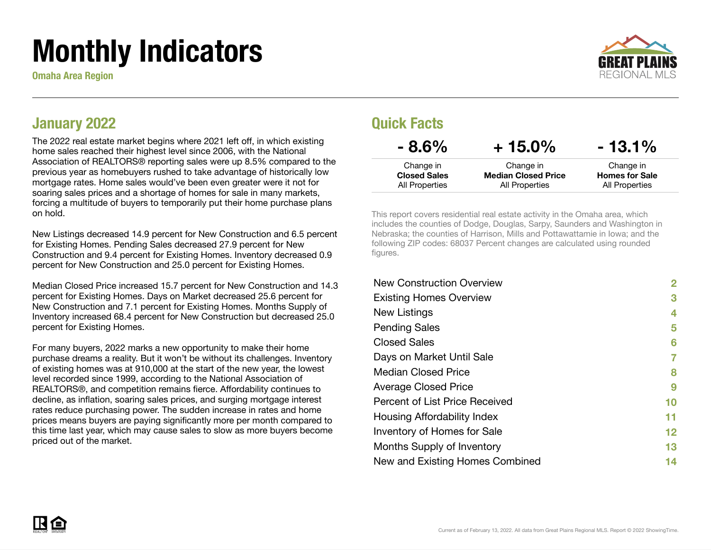# Monthly Indicators

Omaha Area Region



#### January 2022

The 2022 real estate market begins where 2021 left off, in which existing home sales reached their highest level since 2006, with the National Association of REALTORS® reporting sales were up 8.5% compared to the previous year as homebuyers rushed to take advantage of historically low mortgage rates. Home sales would've been even greater were it not for soaring sales prices and a shortage of homes for sale in many markets, forcing a multitude of buyers to temporarily put their home purchase plans on hold.

New Listings decreased 14.9 percent for New Construction and 6.5 percent for Existing Homes. Pending Sales decreased 27.9 percent for New Construction and 9.4 percent for Existing Homes. Inventory decreased 0.9 percent for New Construction and 25.0 percent for Existing Homes.

Median Closed Price increased 15.7 percent for New Construction and 14.3 percent for Existing Homes. Days on Market decreased 25.6 percent for New Construction and 7.1 percent for Existing Homes. Months Supply of Inventory increased 68.4 percent for New Construction but decreased 25.0 percent for Existing Homes.

For many buyers, 2022 marks a new opportunity to make their home purchase dreams a reality. But it won't be without its challenges. Inventory of existing homes was at 910,000 at the start of the new year, the lowest level recorded since 1999, according to the National Association of REALTORS®, and competition remains fierce. Affordability continues to decline, as inflation, soaring sales prices, and surging mortgage interest rates reduce purchasing power. The sudden increase in rates and home prices means buyers are paying significantly more per month compared to this time last year, which may cause sales to slow as more buyers become priced out of the market.

#### Quick Facts

| $-8.6\%$            | $+15.0\%$                  | $-13.1%$              |
|---------------------|----------------------------|-----------------------|
| Change in           | Change in                  | Change in             |
| <b>Closed Sales</b> | <b>Median Closed Price</b> | <b>Homes for Sale</b> |
| All Properties      | All Properties             | All Properties        |

This report covers residential real estate activity in the Omaha area, which includes the counties of Dodge, Douglas, Sarpy, Saunders and Washington in Nebraska; the counties of Harrison, Mills and Pottawattamie in Iowa; and the following ZIP codes: 68037 Percent changes are calculated using rounded figures.

| <b>New Construction Overview</b> | $\mathbf{2}$    |
|----------------------------------|-----------------|
| <b>Existing Homes Overview</b>   | 3               |
| New Listings                     | 4               |
| <b>Pending Sales</b>             | 5               |
| <b>Closed Sales</b>              | 6               |
| Days on Market Until Sale        | 7               |
| <b>Median Closed Price</b>       | 8               |
| <b>Average Closed Price</b>      | 9               |
| Percent of List Price Received   | 10              |
| Housing Affordability Index      | 11              |
| Inventory of Homes for Sale      | 12 <sub>2</sub> |
| Months Supply of Inventory       | 13              |
| New and Existing Homes Combined  | 14              |

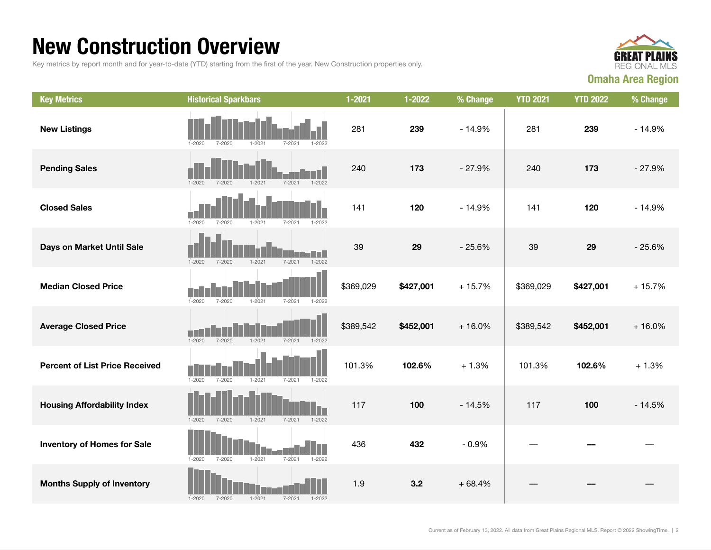### New Construction Overview

Key metrics by report month and for year-to-date (YTD) starting from the first of the year. New Construction properties only.



| <b>Key Metrics</b>                    | <b>Historical Sparkbars</b>                                        | $1 - 2021$ | 1-2022    | % Change | <b>YTD 2021</b> | <b>YTD 2022</b> | % Change |
|---------------------------------------|--------------------------------------------------------------------|------------|-----------|----------|-----------------|-----------------|----------|
| <b>New Listings</b>                   | $1 - 2020$<br>$7 - 2020$<br>$1 - 2021$<br>$7 - 2021$<br>1-2022     | 281        | 239       | $-14.9%$ | 281             | 239             | $-14.9%$ |
| <b>Pending Sales</b>                  | $1 - 2020$<br>$7 - 2020$<br>$1 - 2021$<br>$7 - 2021$<br>$1 - 2022$ | 240        | 173       | $-27.9%$ | 240             | 173             | $-27.9%$ |
| <b>Closed Sales</b>                   | $1 - 2020$<br>7-2020<br>$1 - 2021$<br>$7 - 2021$<br>$1 - 2022$     | 141        | 120       | $-14.9%$ | 141             | 120             | $-14.9%$ |
| Days on Market Until Sale             | $1 - 2022$<br>$1 - 2020$<br>$7 - 2020$<br>$1 - 2021$<br>$7 - 2021$ | 39         | 29        | $-25.6%$ | 39              | 29              | $-25.6%$ |
| <b>Median Closed Price</b>            | $1 - 2020$<br>$7 - 2020$<br>$1 - 2021$<br>$7 - 2021$<br>$1 - 2022$ | \$369,029  | \$427,001 | $+15.7%$ | \$369,029       | \$427,001       | $+15.7%$ |
| <b>Average Closed Price</b>           | $1 - 2020$<br>$7 - 2020$<br>$1 - 2021$<br>$7 - 2021$<br>$1 - 2022$ | \$389,542  | \$452,001 | $+16.0%$ | \$389,542       | \$452,001       | $+16.0%$ |
| <b>Percent of List Price Received</b> | $1 - 2020$<br>$7 - 2020$<br>$1 - 2021$<br>$7 - 2021$<br>$1 - 2022$ | 101.3%     | 102.6%    | $+1.3%$  | 101.3%          | 102.6%          | $+1.3%$  |
| <b>Housing Affordability Index</b>    | $1 - 2020$<br>7-2020<br>$1 - 2021$<br>$7 - 2021$<br>$1 - 2022$     | 117        | 100       | $-14.5%$ | 117             | 100             | $-14.5%$ |
| <b>Inventory of Homes for Sale</b>    | $1 - 2020$<br>$7 - 2020$<br>$1 - 2021$<br>$7 - 2021$<br>$1 - 2022$ | 436        | 432       | $-0.9%$  |                 |                 |          |
| <b>Months Supply of Inventory</b>     | $1 - 2020$<br>$7 - 2020$<br>$1 - 2021$<br>$7 - 2021$<br>$1 - 2022$ | 1.9        | 3.2       | $+68.4%$ |                 |                 |          |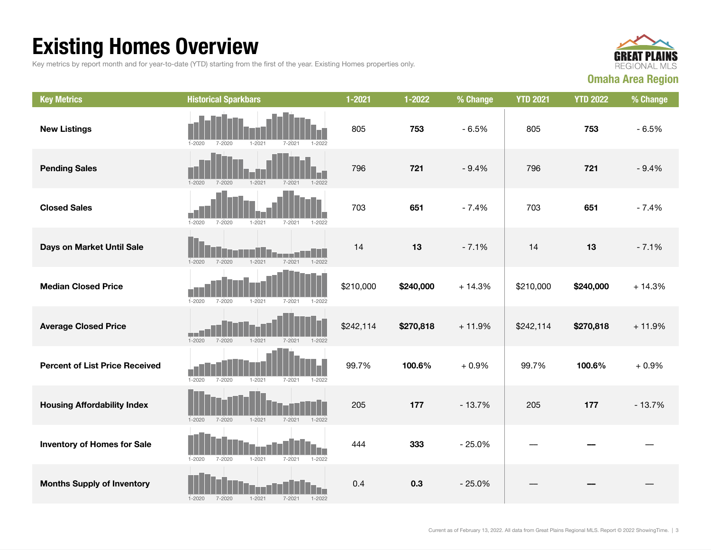## Existing Homes Overview

Key metrics by report month and for year-to-date (YTD) starting from the first of the year. Existing Homes properties only.



| <b>Key Metrics</b>                    | <b>Historical Sparkbars</b>                                        | $1 - 2021$ | 1-2022    | % Change | <b>YTD 2021</b> | <b>YTD 2022</b> | % Change |
|---------------------------------------|--------------------------------------------------------------------|------------|-----------|----------|-----------------|-----------------|----------|
| <b>New Listings</b>                   | $1 - 2020$<br>7-2020<br>$1 - 2021$<br>7-2021<br>1-2022             | 805        | 753       | $-6.5%$  | 805             | 753             | $-6.5%$  |
| <b>Pending Sales</b>                  | $1 - 2020$<br>$7 - 2020$<br>$1 - 2021$<br>$1 - 2022$<br>$7 - 2021$ | 796        | 721       | $-9.4%$  | 796             | 721             | $-9.4%$  |
| <b>Closed Sales</b>                   | $1 - 2020$<br>$7 - 2020$<br>$1 - 2021$<br>$7 - 2021$<br>$1 - 2022$ | 703        | 651       | $-7.4%$  | 703             | 651             | $-7.4%$  |
| Days on Market Until Sale             | $1 - 2021$<br>$1 - 2022$<br>$1 - 2020$<br>$7 - 2020$<br>$7 - 2021$ | 14         | 13        | $-7.1%$  | 14              | 13              | $-7.1%$  |
| <b>Median Closed Price</b>            | $1 - 2020$<br>$7 - 2020$<br>$1 - 2021$<br>$7 - 2021$<br>$1 - 2022$ | \$210,000  | \$240,000 | $+14.3%$ | \$210,000       | \$240,000       | $+14.3%$ |
| <b>Average Closed Price</b>           | $1 - 2020$<br>$7 - 2020$<br>$1 - 2021$<br>$7 - 2021$<br>$1 - 2022$ | \$242,114  | \$270,818 | $+11.9%$ | \$242,114       | \$270,818       | $+11.9%$ |
| <b>Percent of List Price Received</b> | $1 - 2020$<br>$7 - 2020$<br>$1 - 2021$<br>$7 - 2021$<br>$1 - 2022$ | 99.7%      | 100.6%    | $+0.9%$  | 99.7%           | 100.6%          | $+0.9%$  |
| <b>Housing Affordability Index</b>    | $1 - 2020$<br>$7 - 2020$<br>$1 - 2021$<br>$7 - 2021$<br>$1 - 2022$ | 205        | 177       | $-13.7%$ | 205             | 177             | $-13.7%$ |
| <b>Inventory of Homes for Sale</b>    | $1 - 2020$<br>$7 - 2020$<br>$1 - 2021$<br>$7 - 2021$<br>$1 - 2022$ | 444        | 333       | $-25.0%$ |                 |                 |          |
| <b>Months Supply of Inventory</b>     | $1 - 2021$<br>$1 - 2020$<br>$7 - 2020$<br>$7 - 2021$<br>$1 - 2022$ | 0.4        | 0.3       | $-25.0%$ |                 |                 |          |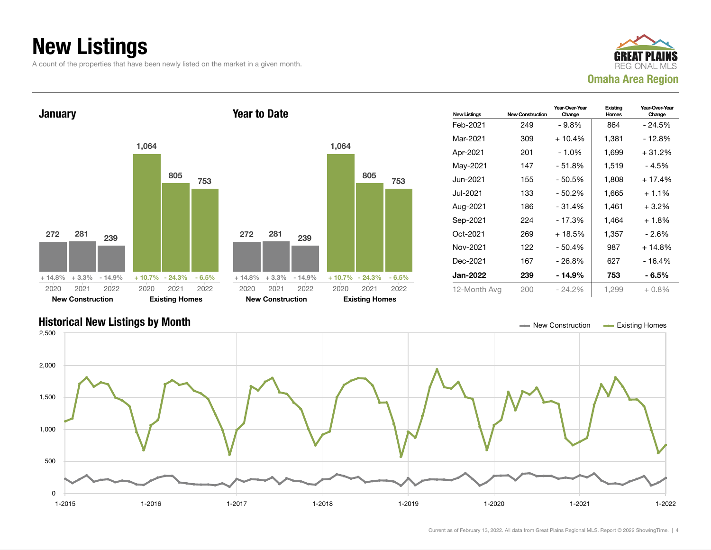### New Listings

A count of the properties that have been newly listed on the market in a given month.







Current as of February 13, 2022. All data from Great Plains Regional MLS. Report © 2022 ShowingTime. | 4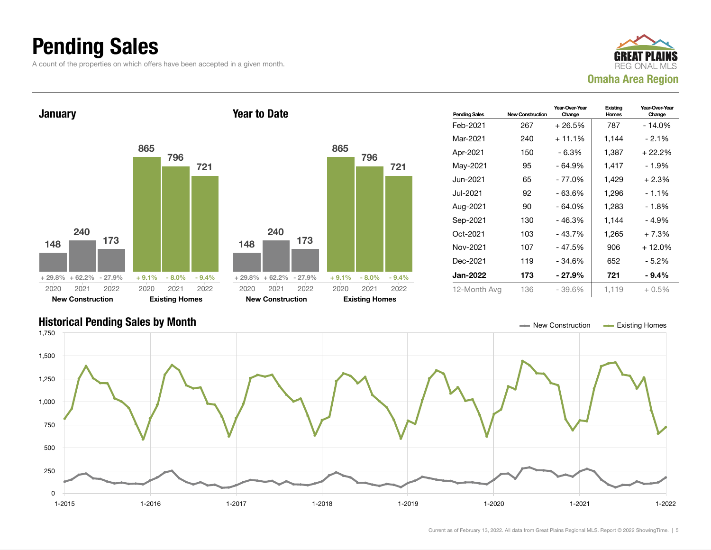### Pending Sales

A count of the properties on which offers have been accepted in a given month.





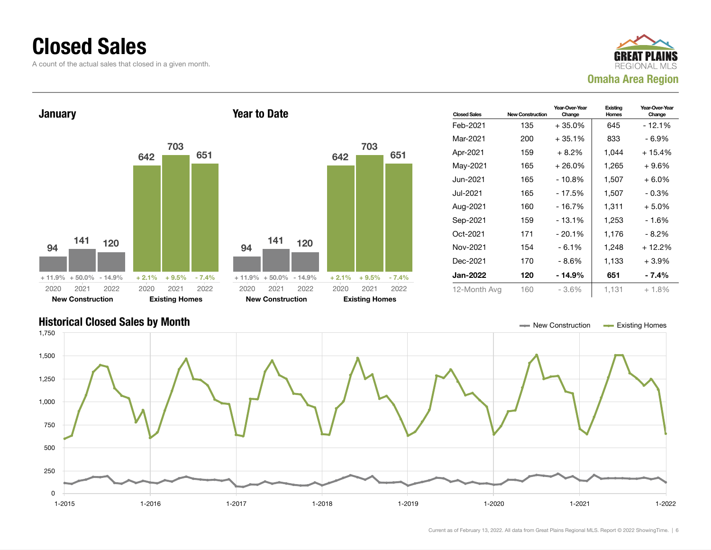#### Closed Sales

A count of the actual sales that closed in a given month.





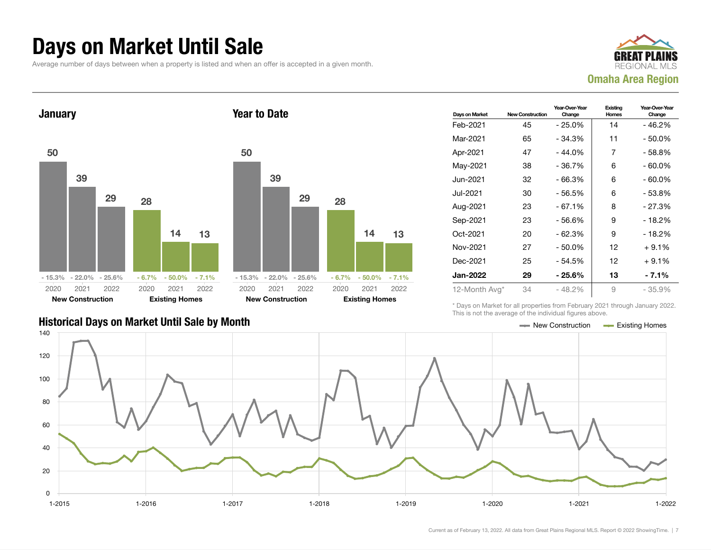#### Days on Market Until Sale

Average number of days between when a property is listed and when an offer is accepted in a given month.





| Days on Market  | <b>New Construction</b> | Year-Over-Year<br>Change | Existing<br><b>Homes</b> | Year-Over-Year<br>Change |
|-----------------|-------------------------|--------------------------|--------------------------|--------------------------|
| Feb-2021        | 45                      | $-25.0%$                 | 14                       | - 46.2%                  |
| Mar-2021        | 65                      | $-34.3%$                 | 11                       | - 50.0%                  |
| Apr-2021        | 47                      | $-44.0%$                 | 7                        | - 58.8%                  |
| May-2021        | 38                      | $-36.7%$                 | 6                        | - 60.0%                  |
| Jun-2021        | 32                      | $-66.3%$                 | 6                        | $-60.0\%$                |
| Jul-2021        | 30                      | - 56.5%                  | 6                        | - 53.8%                  |
| Aug-2021        | 23                      | $-67.1%$                 | 8                        | $-27.3%$                 |
| Sep-2021        | 23                      | - 56.6%                  | 9                        | - 18.2%                  |
| Oct-2021        | 20                      | $-62.3%$                 | 9                        | - 18.2%                  |
| Nov-2021        | 27                      | $-50.0%$                 | 12                       | $+9.1%$                  |
| Dec-2021        | 25                      | - 54.5%                  | 12                       | $+9.1%$                  |
| <b>Jan-2022</b> | 29                      | - 25.6%                  | 13                       | - 7.1%                   |
| 12-Month Avg*   | 34                      | $-48.2%$                 | 9                        | - 35.9%                  |

\* Days on Market for all properties from February 2021 through January 2022. This is not the average of the individual figures above.



#### Historical Days on Market Until Sale by Month New York New York New York New York New York New York New York New York New York New York New York New York New York New York New York New York New York New York New York New Y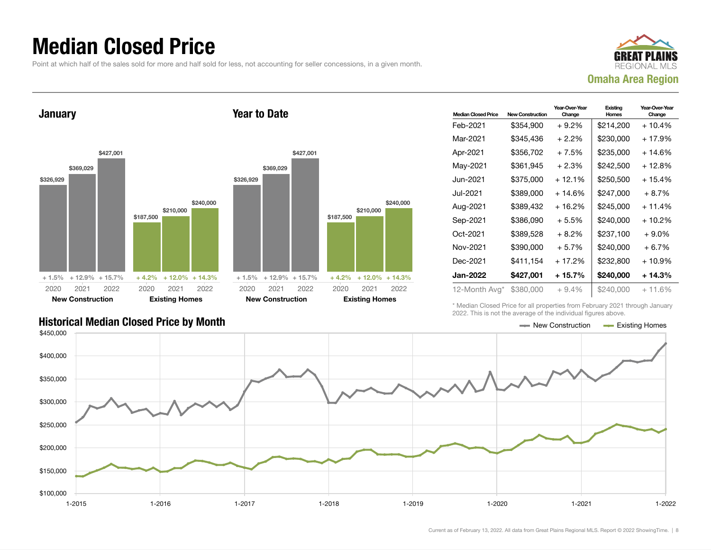### Median Closed Price

Point at which half of the sales sold for more and half sold for less, not accounting for seller concessions, in a given month.



**January** \$326,929 \$369,029 \$427,001 + 1.5% + 12.9% + 15.7% \$187,500 \$210,000 \$240,000  $+4.2\%$  + 12.0% + 14.3% 2020 New Construction 2021 2022 2020 Existing Homes 2021 2022 Year to Date \$326,929 2020



| <b>Median Closed Price</b> | <b>New Construction</b> | Year-Over-Year<br>Change | Existing<br>Homes | Year-Over-Year<br>Change |
|----------------------------|-------------------------|--------------------------|-------------------|--------------------------|
| Feb-2021                   | \$354,900               | $+9.2\%$                 | \$214,200         | $+10.4%$                 |
| Mar-2021                   | \$345.436               | $+2.2\%$                 | \$230,000         | $+17.9%$                 |
| Apr-2021                   | \$356,702               | $+7.5%$                  | \$235,000         | $+14.6%$                 |
| May-2021                   | \$361,945               | $+2.3%$                  | \$242,500         | $+12.8%$                 |
| Jun-2021 <b>.</b>          | \$375,000               | $+12.1%$                 | \$250.500         | $+15.4%$                 |
| Jul-2021                   | \$389,000               | + 14.6%                  | \$247,000         | $+8.7%$                  |
| Aug-2021                   | \$389.432               | $+16.2%$                 | \$245.000         | $+11.4%$                 |
| Sep-2021                   | \$386,090               | $+5.5%$                  | \$240.000         | $+10.2\%$                |
| Oct-2021                   | \$389,528               | $+8.2\%$                 | \$237,100         | $+9.0\%$                 |
| Nov-2021                   | \$390,000               | $+5.7%$                  | \$240,000         | $+6.7%$                  |
| Dec-2021                   | \$411,154               | + 17.2%                  | \$232,800         | $+10.9%$                 |
| Jan-2022                   | \$427,001               | + 15.7%                  | \$240,000         | $+14.3%$                 |
| 12-Month Avg*              | \$380,000               | $+9.4%$                  | \$240,000         | $+11.6%$                 |

Historical Median Closed Price by Month **New Construction Accord Price by Month** New Construction Accord Existing Homes

\* Median Closed Price for all properties from February 2021 through January 2022. This is not the average of the individual figures above.

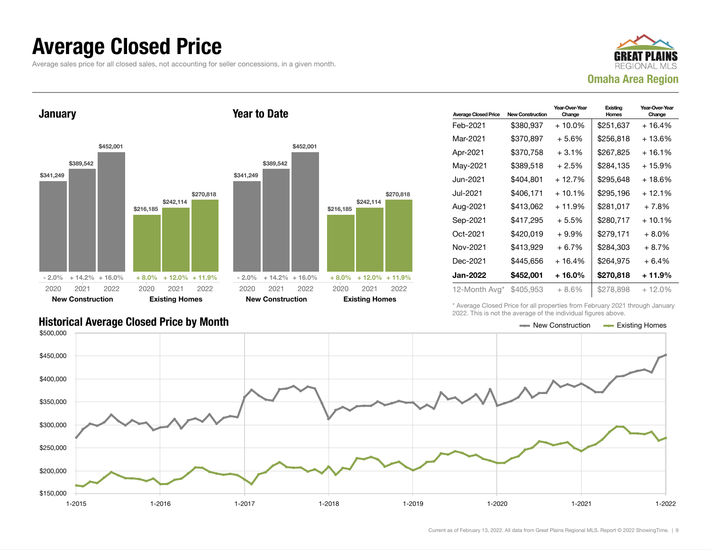#### Average Closed Price

Average sales price for all closed sales, not accounting for seller concessions, in a given month.



**January** 



Year to Date

| <b>Average Closed Price</b> | <b>New Construction</b> | Year-Over-Year<br>Change | Existing<br>Homes | Year-Over-Year<br>Change |
|-----------------------------|-------------------------|--------------------------|-------------------|--------------------------|
| Feb-2021                    | \$380,937               | $+10.0\%$                | \$251,637         | $+16.4%$                 |
| Mar-2021                    | \$370,897               | $+5.6%$                  | \$256,818         | $+13.6%$                 |
| Apr-2021                    | \$370,758               | $+3.1%$                  | \$267,825         | $+16.1%$                 |
| May-2021                    | \$389.518               | $+2.5%$                  | \$284.135         | $+15.9%$                 |
| Jun-2021.                   | \$404,801               | $+12.7%$                 | \$295,648         | + 18.6%                  |
| Jul-2021.                   | \$406.171               | $+10.1\%$                | \$295,196         | $+12.1%$                 |
| Aug-2021                    | \$413,062               | $+11.9%$                 | \$281,017         | $+7.8%$                  |
| Sep-2021                    | \$417,295               | $+5.5%$                  | \$280,717         | $+10.1%$                 |
| Oct-2021                    | \$420,019               | $+9.9\%$                 | \$279,171         | $+8.0\%$                 |
| Nov-2021                    | \$413,929               | $+6.7%$                  | \$284,303         | $+8.7%$                  |
| Dec-2021                    | \$445.656               | $+16.4%$                 | \$264,975         | $+6.4%$                  |
| Jan-2022                    | \$452,001               | + 16.0%                  | \$270,818         | + 11.9%                  |
| 12-Month Avg*               | \$405,953               | $+8.6\%$                 | \$278,898         | $+12.0\%$                |

\* Average Closed Price for all properties from February 2021 through January 2022. This is not the average of the individual figures above.

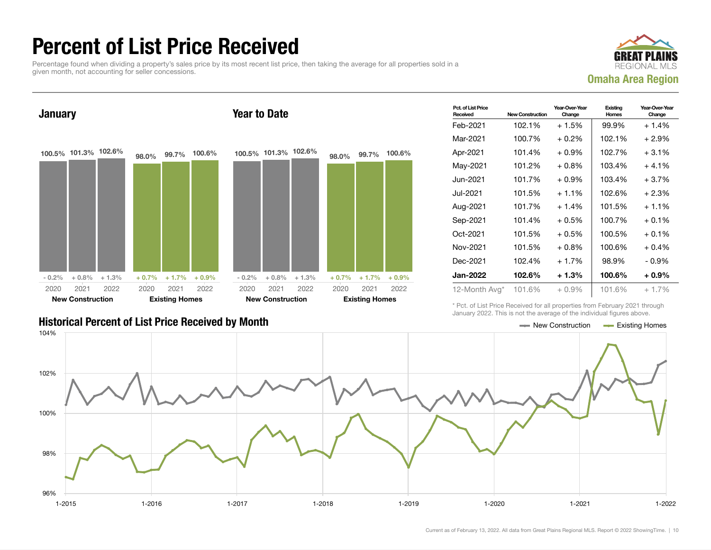### Percent of List Price Received

Percentage found when dividing a property's sales price by its most recent list price, then taking the average for all properties sold in a given month, not accounting for seller concessions.



**January** 100.5% 101.3% 102.6%  $-0.2\% + 0.8\% + 1.3\%$ 98.0% 99.7% 100.6%  $+ 0.7\% + 1.7\% + 0.9\%$ 2020 New Construction 2021 2022 2020 Existing Homes 2021 2022 Year to Date 100.5% 101.3% 102.6%  $-0.2\% + 0.8\% + 1.3\%$ 98.0% 99.7% 100.6%  $+ 0.7\% + 1.7\% + 0.9\%$ 2020 New Construction 2021 2022 2020 Existing Homes 2021 2022

| Pct. of List Price<br>Received | New Construction | Year-Over-Year<br>Change | Existing<br>Homes | Year-Over-Year<br>Change |
|--------------------------------|------------------|--------------------------|-------------------|--------------------------|
| Feb-2021                       | 102.1%           | $+1.5%$                  | 99.9%             | $+1.4%$                  |
| Mar-2021                       | 100.7%           | $+0.2%$                  | 102.1%            | $+2.9%$                  |
| Apr-2021                       | 101.4%           | $+0.9\%$                 | 102.7%            | $+3.1%$                  |
| May-2021                       | 101.2%           | $+0.8%$                  | 103.4%            | $+4.1%$                  |
| Jun-2021.                      | 101.7%           | $+0.9\%$                 | 103.4%            | $+3.7%$                  |
| Jul-2021                       | 101.5%           | $+1.1%$                  | 102.6%            | $+2.3%$                  |
| Aug-2021                       | 101.7%           | $+1.4%$                  | 101.5%            | $+1.1%$                  |
| Sep-2021                       | 101.4%           | $+0.5\%$                 | 100.7%            | $+0.1\%$                 |
| Oct-2021                       | 101.5%           | $+0.5%$                  | 100.5%            | $+0.1%$                  |
| Nov-2021                       | 101.5%           | $+0.8\%$                 | 100.6%            | $+0.4%$                  |
| Dec-2021                       | 102.4%           | $+1.7%$                  | 98.9%             | $-0.9%$                  |
| Jan-2022                       | 102.6%           | $+1.3%$                  | 100.6%            | $+0.9\%$                 |
| 12-Month Avg*                  | 101.6%           | $+0.9\%$                 | 101.6%            | $+1.7%$                  |

#### Historical Percent of List Price Received by Month New Construction According Homes

\* Pct. of List Price Received for all properties from February 2021 through January 2022. This is not the average of the individual figures above.

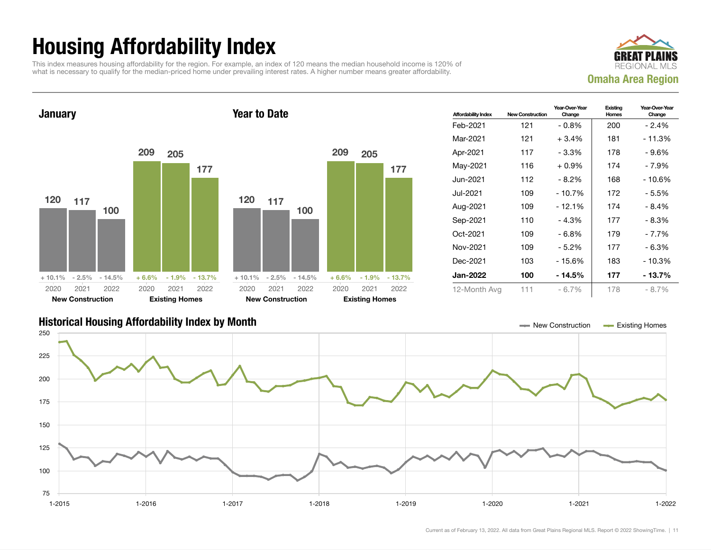## Housing Affordability Index

This index measures housing affordability for the region. For example, an index of 120 means the median household income is 120% of what is necessary to qualify for the median-priced home under prevailing interest rates. A higher number means greater affordability.





| <b>Affordability Index</b> | <b>New Construction</b> | Year-Over-Year<br>Change | Existing<br>Homes | Year-Over-Year<br>Change |
|----------------------------|-------------------------|--------------------------|-------------------|--------------------------|
| Feb-2021                   | 121                     | $-0.8\%$                 | 200               | - 2.4%                   |
| Mar-2021                   | 121                     | $+3.4%$                  | 181               | $-11.3%$                 |
| Apr-2021                   | 117                     | - 3.3%                   | 178               | - 9.6%                   |
| May-2021                   | 116                     | $+0.9%$                  | 174               | - 7.9%                   |
| Jun-2021.                  | 112                     | - 8.2%                   | 168               | - 10.6%                  |
| Jul-2021                   | 109                     | - 10.7%                  | 172               | - 5.5%                   |
| Aug-2021                   | 109                     | $-12.1%$                 | 174               | $-8.4%$                  |
| Sep-2021                   | 110                     | $-4.3%$                  | 177               | - 8.3%                   |
| Oct-2021                   | 109                     | - 6.8%                   | 179               | - 7.7%                   |
| Nov-2021                   | 109                     | - 5.2%                   | 177               | - 6.3%                   |
| Dec-2021                   | 103                     | - 15.6%                  | 183               | - 10.3%                  |
| <b>Jan-2022</b>            | 100                     | - 14.5%                  | 177               | - 13.7%                  |
| 12-Month Avg               | 111                     | $-6.7\%$                 | 178               | $-8.7\%$                 |

#### Historical Housing Affordability Index by Month New Construction Existing Homes

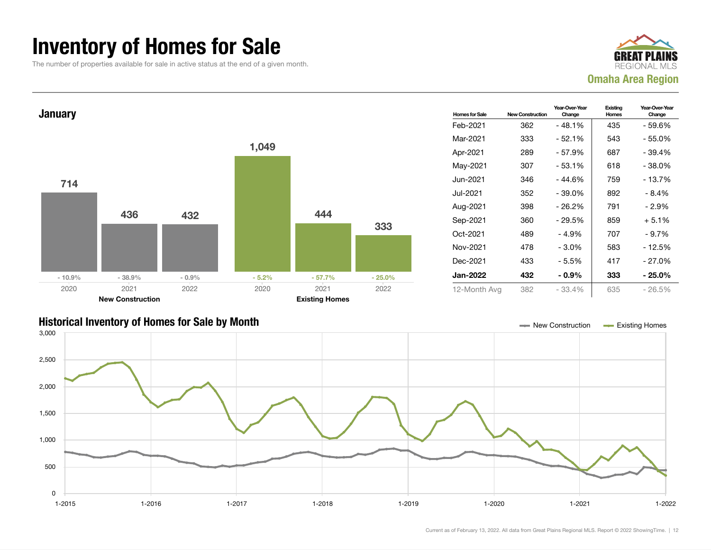### Inventory of Homes for Sale

The number of properties available for sale in active status at the end of a given month.





#### Historical Inventory of Homes for Sale by Month New Construction Existing Homes

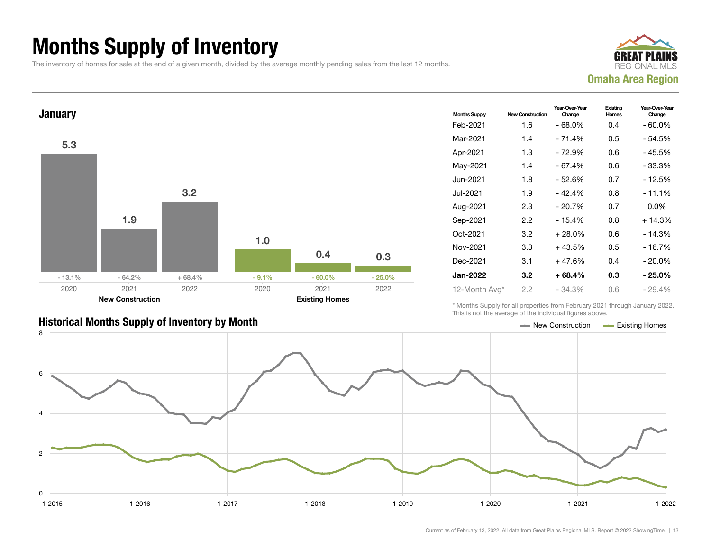## Months Supply of Inventory

The inventory of homes for sale at the end of a given month, divided by the average monthly pending sales from the last 12 months.





#### Historical Months Supply of Inventory by Month New York New York New York New Construction And Existing Homes

| <b>Months Supply</b> | <b>New Construction</b> | Year-Over-Year<br>Change | Existing<br><b>Homes</b> | Year-Over-Year<br>Change |
|----------------------|-------------------------|--------------------------|--------------------------|--------------------------|
| Feb-2021             | 1.6                     | $-68.0%$                 | 0.4                      | $-60.0\%$                |
| Mar-2021             | 1.4                     | - 71.4%                  | 0.5                      | - 54.5%                  |
| Apr-2021             | 1.3                     | $-72.9%$                 | 0.6                      | - 45.5%                  |
| May-2021             | 1.4                     | $-67.4%$                 | 0.6                      | - 33.3%                  |
| Jun-2021             | 1.8                     | - 52.6%                  | 0.7                      | - 12.5%                  |
| Jul-2021             | 1.9                     | $-42.4%$                 | 0.8                      | - 11.1%                  |
| Aug-2021             | 2.3                     | $-20.7%$                 | 0.7                      | $0.0\%$                  |
| Sep-2021             | 2.2                     | $-15.4%$                 | 0.8                      | $+14.3%$                 |
| Oct-2021             | 3.2                     | $+28.0%$                 | 0.6                      | - 14.3%                  |
| Nov-2021             | 3.3                     | $+43.5%$                 | 0.5                      | - 16.7%                  |
| Dec-2021             | 3.1                     | $+47.6%$                 | 0.4                      | $-20.0\%$                |
| <b>Jan-2022</b>      | 3.2                     | $+68.4%$                 | 0.3                      | - 25.0%                  |
| 12-Month Avg*        | 2.2                     | $-34.3%$                 | 0.6                      | $-29.4\%$                |

\* Months Supply for all properties from February 2021 through January 2022. This is not the average of the individual figures above.